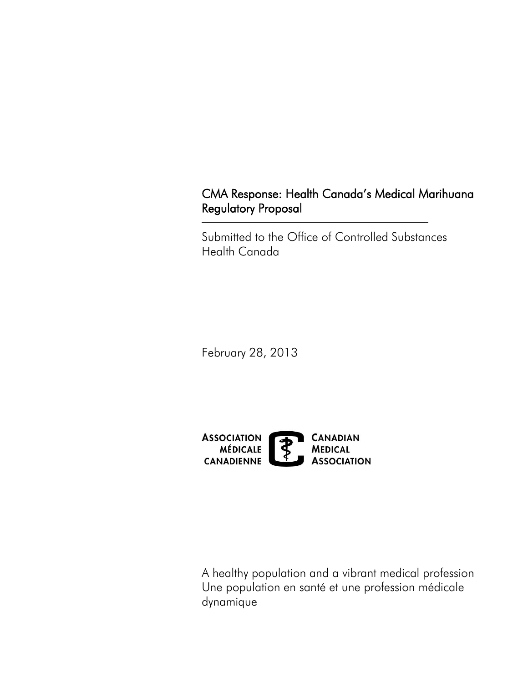# CMA Response: Health Canada's Medical Marihuana Regulatory Proposal

Submitted to the Office of Controlled Substances Health Canada

February 28, 2013



A healthy population and a vibrant medical profession Une population en santé et une profession médicale dynamique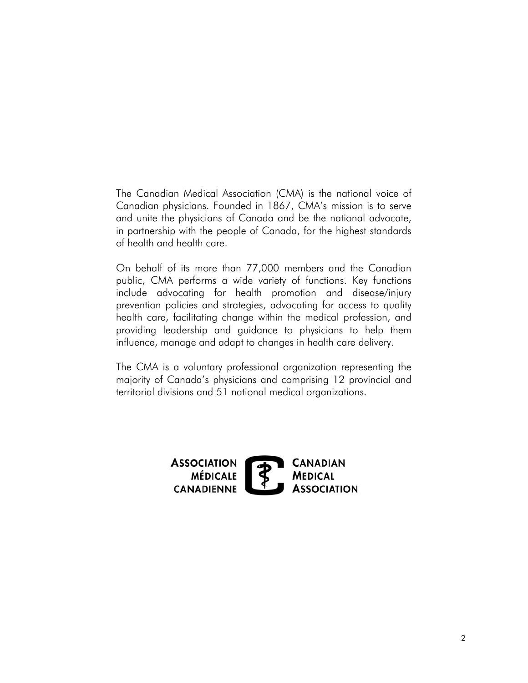The Canadian Medical Association (CMA) is the national voice of Canadian physicians. Founded in 1867, CMA's mission is to serve and unite the physicians of Canada and be the national advocate, in partnership with the people of Canada, for the highest standards of health and health care.

 On behalf of its more than 77,000 members and the Canadian public, CMA performs a wide variety of functions. Key functions include advocating for health promotion and disease/injury prevention policies and strategies, advocating for access to quality health care, facilitating change within the medical profession, and providing leadership and guidance to physicians to help them influence, manage and adapt to changes in health care delivery.

The CMA is a voluntary professional organization representing the majority of Canada's physicians and comprising 12 provincial and territorial divisions and 51 national medical organizations.

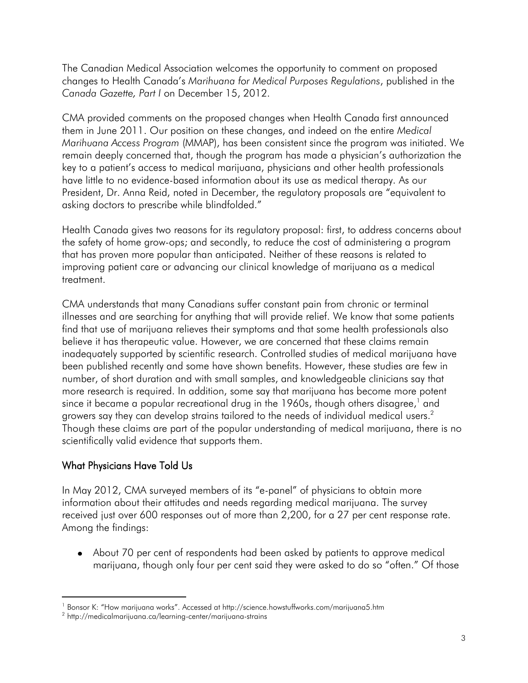The Canadian Medical Association welcomes the opportunity to comment on proposed changes to Health Canada's *Marihuana for Medical Purposes Regulations*, published in the *Canada Gazette, Part I* on December 15, 2012.

 *Marihuana Access Program* (MMAP), has been consistent since the program was initiated. We remain deeply concerned that, though the program has made a physician's authorization the have little to no evidence-based information about its use as medical therapy. As our CMA provided comments on the proposed changes when Health Canada first announced them in June 2011. Our position on these changes, and indeed on the entire *Medical*  key to a patient's access to medical marijuana, physicians and other health professionals President, Dr. Anna Reid, noted in December, the regulatory proposals are "equivalent to asking doctors to prescribe while blindfolded."

 improving patient care or advancing our clinical knowledge of marijuana as a medical Health Canada gives two reasons for its regulatory proposal: first, to address concerns about the safety of home grow-ops; and secondly, to reduce the cost of administering a program that has proven more popular than anticipated. Neither of these reasons is related to treatment.

 believe it has therapeutic value. However, we are concerned that these claims remain inadequately supported by scientific research. Controlled studies of medical marijuana have growers say they can develop strains tailored to the needs of individual medical users. $^2$  scientifically valid evidence that supports them. CMA understands that many Canadians suffer constant pain from chronic or terminal illnesses and are searching for anything that will provide relief. We know that some patients find that use of marijuana relieves their symptoms and that some health professionals also been published recently and some have shown benefits. However, these studies are few in number, of short duration and with small samples, and knowledgeable clinicians say that more research is required. In addition, some say that marijuana has become more potent since it became a popular recreational drug in the 1960s, though others disagree, $1$  and Though these claims are part of the popular understanding of medical marijuana, there is no

### What Physicians Have Told Us

l

 received just over 600 responses out of more than 2,200, for a 27 per cent response rate. In May 2012, CMA surveyed members of its "e-panel" of physicians to obtain more information about their attitudes and needs regarding medical marijuana. The survey Among the findings:

 About 70 per cent of respondents had been asked by patients to approve medical marijuana, though only four per cent said they were asked to do so "often." Of those

 $^{\text{1}}$  Bonsor K: "How marijuana works". Accessed at <http://science.howstuffworks.com/marijuana5.htm>

<sup>2</sup> <http://medicalmarijuana.ca/learning-center/marijuana-strains>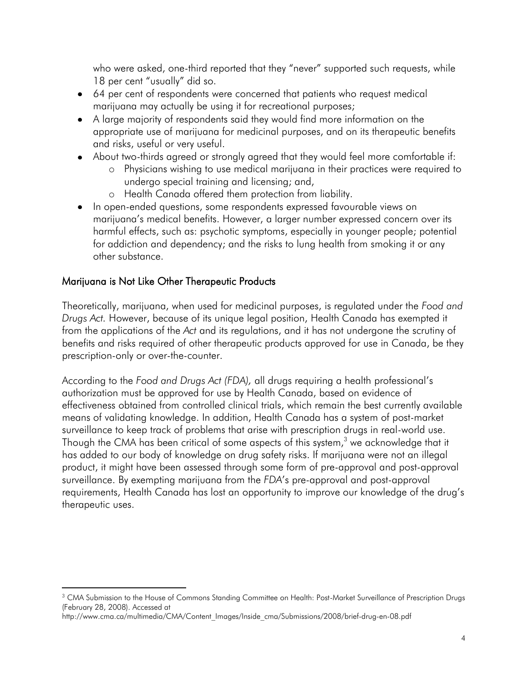18 per cent "usually" did so. who were asked, one-third reported that they "never" supported such requests, while

- 64 per cent of respondents were concerned that patients who request medical marijuana may actually be using it for recreational purposes;
- A large majority of respondents said they would find more information on the appropriate use of marijuana for medicinal purposes, and on its therapeutic benefits and risks, useful or very useful.
- About two-thirds agreed or strongly agreed that they would feel more comfortable if:
	- o Physicians wishing to use medical marijuana in their practices were required to undergo special training and licensing; and,
	- o Health Canada offered them protection from liability.
- In open-ended questions, some respondents expressed favourable views on marijuana's medical benefits. However, a larger number expressed concern over its harmful effects, such as: psychotic symptoms, especially in younger people; potential for addiction and dependency; and the risks to lung health from smoking it or any other substance.

# Marijuana is Not Like Other Therapeutic Products

 $\overline{a}$ 

 Theoretically, marijuana, when used for medicinal purposes, is regulated under the *Food and*  from the applications of the *Act* and its regulations, and it has not undergone the scrutiny of *Drugs Act.* However, because of its unique legal position, Health Canada has exempted it benefits and risks required of other therapeutic products approved for use in Canada, be they prescription-only or over-the-counter.

 According to the *Food and Drugs Act (FDA),* all drugs requiring a health professional's Though the CMA has been critical of some aspects of this system, $^3$  we acknowledge that it authorization must be approved for use by Health Canada, based on evidence of effectiveness obtained from controlled clinical trials, which remain the best currently available means of validating knowledge. In addition, Health Canada has a system of post-market surveillance to keep track of problems that arise with prescription drugs in real-world use. has added to our body of knowledge on drug safety risks. If marijuana were not an illegal product, it might have been assessed through some form of pre-approval and post-approval surveillance. By exempting marijuana from the *FDA*'s pre-approval and post-approval requirements, Health Canada has lost an opportunity to improve our knowledge of the drug's therapeutic uses.

 $^3$  CMA Submission to the House of Commons Standing Committee on Health: Post-Market Surveillance of Prescription Drugs (February 28, 2008). Accessed at

[http://www.cma.ca/multimedia/CMA/Content\\_Images/Inside\\_cma/Submissions/2008/brief-drug-en-08.pdf](http://www.cma.ca/multimedia/CMA/Content_Images/Inside_cma/Submissions/2008/brief-drug-en-08.pdf)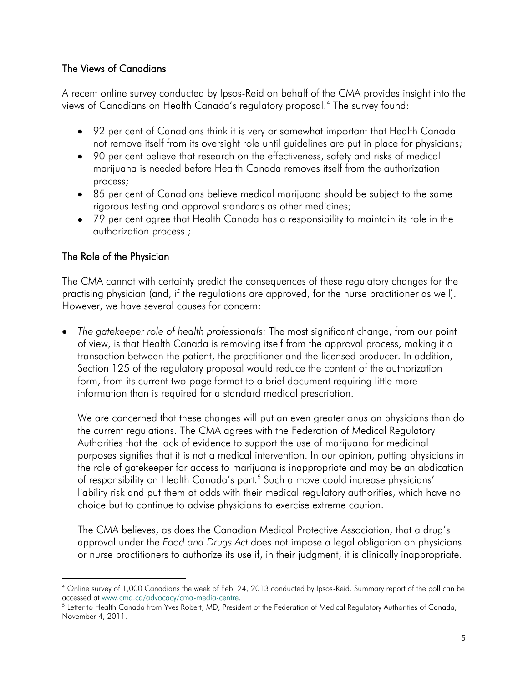#### The Views of Canadians

A recent online survey conducted by Ipsos-Reid on behalf of the CMA provides insight into the views of Canadians on Health Canada's regulatory proposal.4 The survey found:

- 92 per cent of Canadians think it is very or somewhat important that Health Canada not remove itself from its oversight role until guidelines are put in place for physicians;
- 90 per cent believe that research on the effectiveness, safety and risks of medical marijuana is needed before Health Canada removes itself from the authorization process;
- 85 per cent of Canadians believe medical marijuana should be subject to the same rigorous testing and approval standards as other medicines;
- 79 per cent agree that Health Canada has a responsibility to maintain its role in the authorization process.;

#### The Role of the Physician

1

 The CMA cannot with certainty predict the consequences of these regulatory changes for the practising physician (and, if the regulations are approved, for the nurse practitioner as well). However, we have several causes for concern:

 transaction between the patient, the practitioner and the licensed producer. In addition, *The gatekeeper role of health professionals:* The most significant change, from our point of view, is that Health Canada is removing itself from the approval process, making it a Section 125 of the regulatory proposal would reduce the content of the authorization form, from its current two-page format to a brief document requiring little more information than is required for a standard medical prescription.

 the current regulations. The CMA agrees with the Federation of Medical Regulatory the role of gatekeeper for access to marijuana is inappropriate and may be an abdication We are concerned that these changes will put an even greater onus on physicians than do Authorities that the lack of evidence to support the use of marijuana for medicinal purposes signifies that it is not a medical intervention. In our opinion, putting physicians in of responsibility on Health Canada's part. 5 Such a move could increase physicians' liability risk and put them at odds with their medical regulatory authorities, which have no choice but to continue to advise physicians to exercise extreme caution.

 approval under the *Food and Drugs Act* does not impose a legal obligation on physicians The CMA believes, as does the Canadian Medical Protective Association, that a drug's or nurse practitioners to authorize its use if, in their judgment, it is clinically inappropriate.

 4 Online survey of 1,000 Canadians the week of Feb. 24, 2013 conducted by Ipsos-Reid. Summary report of the poll can be accessed at www.cma.ca/advocacy/cma-media-centre. accessed at <u>www.cma.ca/advocacy/cma-media-centre</u>.<br><sup>5</sup> Letter to Health Canada from Yves Robert, MD, President of the Federation of Medical Regulatory Authorities of Canada,

 November 4, 2011.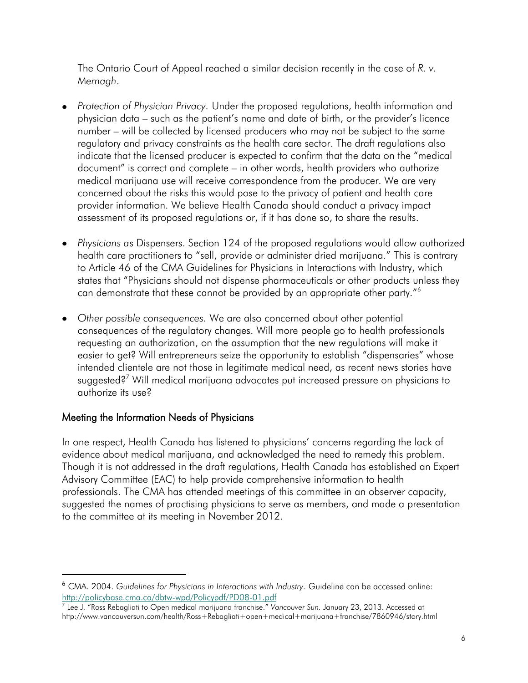The Ontario Court of Appeal reached a similar decision recently in the case of *R. v. Mernagh*.

- physician data such as the patient's name and date of birth, or the provider's licence number – will be collected by licensed producers who may not be subject to the same assessment of its proposed regulations or, if it has done so, to share the results. *Protection of Physician Privacy.* Under the proposed regulations, health information and regulatory and privacy constraints as the health care sector. The draft regulations also indicate that the licensed producer is expected to confirm that the data on the "medical document" is correct and complete – in other words, health providers who authorize medical marijuana use will receive correspondence from the producer. We are very concerned about the risks this would pose to the privacy of patient and health care provider information. We believe Health Canada should conduct a privacy impact
- health care practitioners to "sell, provide or administer dried marijuana." This is contrary to Article 46 of the CMA Guidelines for Physicians in Interactions with Industry, which *Physicians a*s Dispensers. Section 124 of the proposed regulations would allow authorized states that "Physicians should not dispense pharmaceuticals or other products unless they can demonstrate that these cannot be provided by an appropriate other party."<sup>6</sup>
- quthorize its use? *Other possible consequences.* We are also concerned about other potential consequences of the regulatory changes. Will more people go to health professionals requesting an authorization, on the assumption that the new regulations will make it easier to get? Will entrepreneurs seize the opportunity to establish "dispensaries" whose intended clientele are not those in legitimate medical need, as recent news stories have suggested?<sup>7</sup> Will medical marijuana advocates put increased pressure on physicians to

#### Meeting the Information Needs of Physicians

1

 In one respect, Health Canada has listened to physicians' concerns regarding the lack of professionals. The CMA has attended meetings of this committee in an observer capacity, to the committee at its meeting in November 2012. evidence about medical marijuana, and acknowledged the need to remedy this problem. Though it is not addressed in the draft regulations, Health Canada has established an Expert Advisory Committee (EAC) to help provide comprehensive information to health suggested the names of practising physicians to serve as members, and made a presentation

http://policybase.cma.ca/dbtw-wpd/Policypdf/PD08-01.pdf http://policybase.cma.ca/dbtw-wpd/Policypdf/PD08-01.pdf<br><sup>7</sup> Lee J. "Ross Rebagliati to Open medical marijuana franchise." *Vancouver Sun*. January 23, 2013. Accessed at <sup>6</sup>CMA. 2004. *Guidelines for Physicians in Interactions with Industry.* Guideline can be accessed online:

<http://www.vancouversun.com/health/Ross+Rebagliati+open+medical+marijuana+franchise/7860946/story.html>